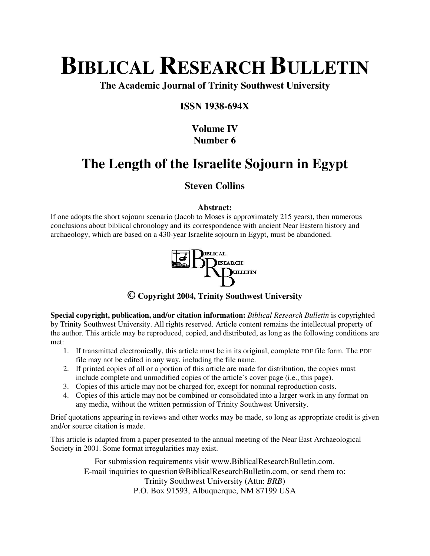# **BIBLICAL RESEARCH BULLETIN**

**The Academic Journal of Trinity Southwest University** 

## **ISSN 1938-694X**

# **Volume IV Number 6**

# **The Length of the Israelite Sojourn in Egypt**

# **Steven Collins**

### **Abstract:**

If one adopts the short sojourn scenario (Jacob to Moses is approximately 215 years), then numerous conclusions about biblical chronology and its correspondence with ancient Near Eastern history and archaeology, which are based on a 430-year Israelite sojourn in Egypt, must be abandoned.



## **© Copyright 2004, Trinity Southwest University**

**Special copyright, publication, and/or citation information:** *Biblical Research Bulletin* is copyrighted by Trinity Southwest University. All rights reserved. Article content remains the intellectual property of the author. This article may be reproduced, copied, and distributed, as long as the following conditions are met:

- 1. If transmitted electronically, this article must be in its original, complete PDF file form. The PDF file may not be edited in any way, including the file name.
- 2. If printed copies of all or a portion of this article are made for distribution, the copies must include complete and unmodified copies of the article's cover page (i.e., this page).
- 3. Copies of this article may not be charged for, except for nominal reproduction costs.
- 4. Copies of this article may not be combined or consolidated into a larger work in any format on any media, without the written permission of Trinity Southwest University.

Brief quotations appearing in reviews and other works may be made, so long as appropriate credit is given and/or source citation is made.

This article is adapted from a paper presented to the annual meeting of the Near East Archaeological Society in 2001. Some format irregularities may exist.

> For submission requirements visit www.BiblicalResearchBulletin.com. E-mail inquiries to question@BiblicalResearchBulletin.com, or send them to: Trinity Southwest University (Attn: *BRB*) P.O. Box 91593, Albuquerque, NM 87199 USA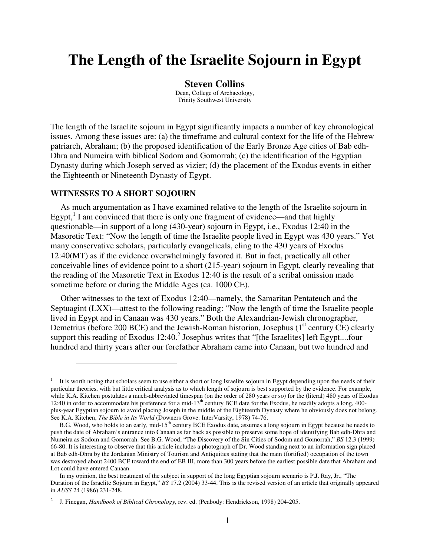# **The Length of the Israelite Sojourn in Egypt**

#### **Steven Collins**

Dean, College of Archaeology, Trinity Southwest University

The length of the Israelite sojourn in Egypt significantly impacts a number of key chronological issues. Among these issues are: (a) the timeframe and cultural context for the life of the Hebrew patriarch, Abraham; (b) the proposed identification of the Early Bronze Age cities of Bab edh-Dhra and Numeira with biblical Sodom and Gomorrah; (c) the identification of the Egyptian Dynasty during which Joseph served as vizier; (d) the placement of the Exodus events in either the Eighteenth or Nineteenth Dynasty of Egypt.

#### **WITNESSES TO A SHORT SOJOURN**

 $\overline{a}$ 

As much argumentation as I have examined relative to the length of the Israelite sojourn in Egypt, $<sup>1</sup>$  I am convinced that there is only one fragment of evidence—and that highly</sup> questionable—in support of a long (430-year) sojourn in Egypt, i.e., Exodus 12:40 in the Masoretic Text: "Now the length of time the Israelite people lived in Egypt was 430 years." Yet many conservative scholars, particularly evangelicals, cling to the 430 years of Exodus 12:40(MT) as if the evidence overwhelmingly favored it. But in fact, practically all other conceivable lines of evidence point to a short (215-year) sojourn in Egypt, clearly revealing that the reading of the Masoretic Text in Exodus 12:40 is the result of a scribal omission made sometime before or during the Middle Ages (ca. 1000 CE).

Other witnesses to the text of Exodus 12:40—namely, the Samaritan Pentateuch and the Septuagint (LXX)—attest to the following reading: "Now the length of time the Israelite people lived in Egypt and in Canaan was 430 years." Both the Alexandrian-Jewish chronographer, Demetrius (before 200 BCE) and the Jewish-Roman historian, Josephus ( $1<sup>st</sup>$  century CE) clearly support this reading of Exodus  $12:40$ .<sup>2</sup> Josephus writes that "[the Israelites] left Egypt....four hundred and thirty years after our forefather Abraham came into Canaan, but two hundred and

<sup>&</sup>lt;sup>1</sup> It is worth noting that scholars seem to use either a short or long Israelite sojourn in Egypt depending upon the needs of their particular theories, with but little critical analysis as to which length of sojourn is best supported by the evidence. For example, while K.A. Kitchen postulates a much-abbreviated timespan (on the order of 280 years or so) for the (literal) 480 years of Exodus 12:40 in order to accommodate his preference for a mid- $13<sup>th</sup>$  century BCE date for the Exodus, he readily adopts a long, 400plus-year Egyptian sojourn to avoid placing Joseph in the middle of the Eighteenth Dynasty where he obviously does not belong. See K.A. Kitchen, *The Bible in Its World* (Downers Grove: InterVarsity, 1978) 74-76.

B.G. Wood, who holds to an early, mid-15<sup>th</sup> century BCE Exodus date, assumes a long sojourn in Egypt because he needs to push the date of Abraham's entrance into Canaan as far back as possible to preserve some hope of identifying Bab edh-Dhra and Numeira as Sodom and Gomorrah. See B.G. Wood, "The Discovery of the Sin Cities of Sodom and Gomorrah," *BS* 12.3 (1999) 66-80. It is interesting to observe that this article includes a photograph of Dr. Wood standing next to an information sign placed at Bab edh-Dhra by the Jordanian Ministry of Tourism and Antiquities stating that the main (fortified) occupation of the town was destroyed about 2400 BCE toward the end of EB III, more than 300 years before the earliest possible date that Abraham and Lot could have entered Canaan.

In my opinion, the best treatment of the subject in support of the long Egyptian sojourn scenario is P.J. Ray, Jr., "The Duration of the Israelite Sojourn in Egypt," *BS* 17.2 (2004) 33-44. This is the revised version of an article that originally appeared in *AUSS* 24 (1986) 231-248.

<sup>2</sup> J. Finegan, *Handbook of Biblical Chronology*, rev. ed. (Peabody: Hendrickson, 1998) 204-205.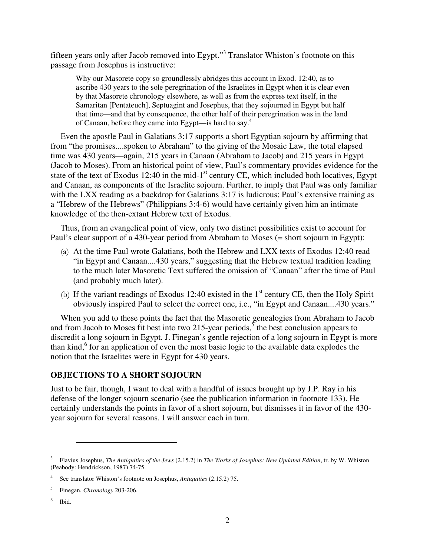fifteen years only after Jacob removed into Egypt."<sup>3</sup> Translator Whiston's footnote on this passage from Josephus is instructive:

Why our Masorete copy so groundlessly abridges this account in Exod. 12:40, as to ascribe 430 years to the sole peregrination of the Israelites in Egypt when it is clear even by that Masorete chronology elsewhere, as well as from the express text itself, in the Samaritan [Pentateuch], Septuagint and Josephus, that they sojourned in Egypt but half that time—and that by consequence, the other half of their peregrination was in the land of Canaan, before they came into Egypt—is hard to say.<sup>4</sup>

Even the apostle Paul in Galatians 3:17 supports a short Egyptian sojourn by affirming that from "the promises....spoken to Abraham" to the giving of the Mosaic Law, the total elapsed time was 430 years—again, 215 years in Canaan (Abraham to Jacob) and 215 years in Egypt (Jacob to Moses). From an historical point of view, Paul's commentary provides evidence for the state of the text of Exodus 12:40 in the mid-1<sup>st</sup> century CE, which included both locatives, Egypt and Canaan, as components of the Israelite sojourn. Further, to imply that Paul was only familiar with the LXX reading as a backdrop for Galatians 3:17 is ludicrous; Paul's extensive training as a "Hebrew of the Hebrews" (Philippians 3:4-6) would have certainly given him an intimate knowledge of the then-extant Hebrew text of Exodus.

Thus, from an evangelical point of view, only two distinct possibilities exist to account for Paul's clear support of a 430-year period from Abraham to Moses (= short sojourn in Egypt):

- (a) At the time Paul wrote Galatians, both the Hebrew and LXX texts of Exodus 12:40 read "in Egypt and Canaan....430 years," suggesting that the Hebrew textual tradition leading to the much later Masoretic Text suffered the omission of "Canaan" after the time of Paul (and probably much later).
- (b) If the variant readings of Exodus 12:40 existed in the  $1<sup>st</sup>$  century CE, then the Holy Spirit obviously inspired Paul to select the correct one, i.e., "in Egypt and Canaan....430 years."

When you add to these points the fact that the Masoretic genealogies from Abraham to Jacob and from Jacob to Moses fit best into two 215-year periods,<sup>5</sup> the best conclusion appears to discredit a long sojourn in Egypt. J. Finegan's gentle rejection of a long sojourn in Egypt is more than kind,<sup>6</sup> for an application of even the most basic logic to the available data explodes the notion that the Israelites were in Egypt for 430 years.

#### **OBJECTIONS TO A SHORT SOJOURN**

Just to be fair, though, I want to deal with a handful of issues brought up by J.P. Ray in his defense of the longer sojourn scenario (see the publication information in footnote 133). He certainly understands the points in favor of a short sojourn, but dismisses it in favor of the 430 year sojourn for several reasons. I will answer each in turn.

 $\overline{a}$ 

6 Ibid.

<sup>3</sup> Flavius Josephus, *The Antiquities of the Jews* (2.15.2) in *The Works of Josephus: New Updated Edition*, tr. by W. Whiston (Peabody: Hendrickson, 1987) 74-75.

<sup>4</sup> See translator Whiston's footnote on Josephus, *Antiquities* (2.15.2) 75.

<sup>5</sup> Finegan, *Chronology* 203-206.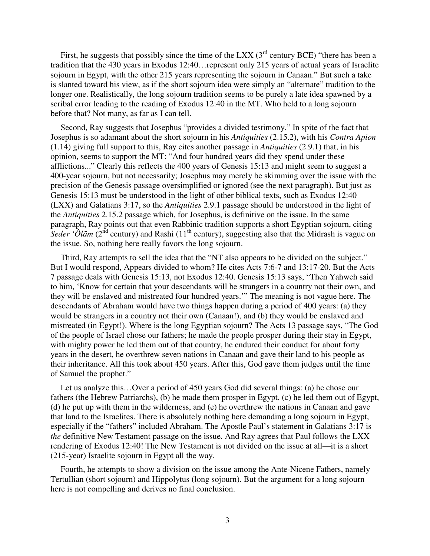First, he suggests that possibly since the time of the LXX  $(3<sup>rd</sup>$  century BCE) "there has been a tradition that the 430 years in Exodus 12:40…represent only 215 years of actual years of Israelite sojourn in Egypt, with the other 215 years representing the sojourn in Canaan." But such a take is slanted toward his view, as if the short sojourn idea were simply an "alternate" tradition to the longer one. Realistically, the long sojourn tradition seems to be purely a late idea spawned by a scribal error leading to the reading of Exodus 12:40 in the MT. Who held to a long sojourn before that? Not many, as far as I can tell.

Second, Ray suggests that Josephus "provides a divided testimony." In spite of the fact that Josephus is so adamant about the short sojourn in his *Antiquities* (2.15.2), with his *Contra Apion* (1.14) giving full support to this, Ray cites another passage in *Antiquities* (2.9.1) that, in his opinion, seems to support the MT: "And four hundred years did they spend under these afflictions..." Clearly this reflects the 400 years of Genesis 15:13 and might seem to suggest a 400-year sojourn, but not necessarily; Josephus may merely be skimming over the issue with the precision of the Genesis passage oversimplified or ignored (see the next paragraph). But just as Genesis 15:13 must be understood in the light of other biblical texts, such as Exodus 12:40 (LXX) and Galatians 3:17, so the *Antiquities* 2.9.1 passage should be understood in the light of the *Antiquities* 2.15.2 passage which, for Josephus, is definitive on the issue. In the same paragraph, Ray points out that even Rabbinic tradition supports a short Egyptian sojourn, citing *Seder 'Ôlām* ( $2^{nd}$  century) and Rashi ( $11^{th}$  century), suggesting also that the Midrash is vague on the issue. So, nothing here really favors the long sojourn.

Third, Ray attempts to sell the idea that the "NT also appears to be divided on the subject." But I would respond, Appears divided to whom? He cites Acts 7:6-7 and 13:17-20. But the Acts 7 passage deals with Genesis 15:13, not Exodus 12:40. Genesis 15:13 says, "Then Yahweh said to him, 'Know for certain that your descendants will be strangers in a country not their own, and they will be enslaved and mistreated four hundred years.'" The meaning is not vague here. The descendants of Abraham would have two things happen during a period of 400 years: (a) they would be strangers in a country not their own (Canaan!), and (b) they would be enslaved and mistreated (in Egypt!). Where is the long Egyptian sojourn? The Acts 13 passage says, "The God of the people of Israel chose our fathers; he made the people prosper during their stay in Egypt, with mighty power he led them out of that country, he endured their conduct for about forty years in the desert, he overthrew seven nations in Canaan and gave their land to his people as their inheritance. All this took about 450 years. After this, God gave them judges until the time of Samuel the prophet."

Let us analyze this…Over a period of 450 years God did several things: (a) he chose our fathers (the Hebrew Patriarchs), (b) he made them prosper in Egypt, (c) he led them out of Egypt, (d) he put up with them in the wilderness, and (e) he overthrew the nations in Canaan and gave that land to the Israelites. There is absolutely nothing here demanding a long sojourn in Egypt, especially if the "fathers" included Abraham. The Apostle Paul's statement in Galatians 3:17 is *the* definitive New Testament passage on the issue. And Ray agrees that Paul follows the LXX rendering of Exodus 12:40! The New Testament is not divided on the issue at all—it is a short (215-year) Israelite sojourn in Egypt all the way.

Fourth, he attempts to show a division on the issue among the Ante-Nicene Fathers, namely Tertullian (short sojourn) and Hippolytus (long sojourn). But the argument for a long sojourn here is not compelling and derives no final conclusion.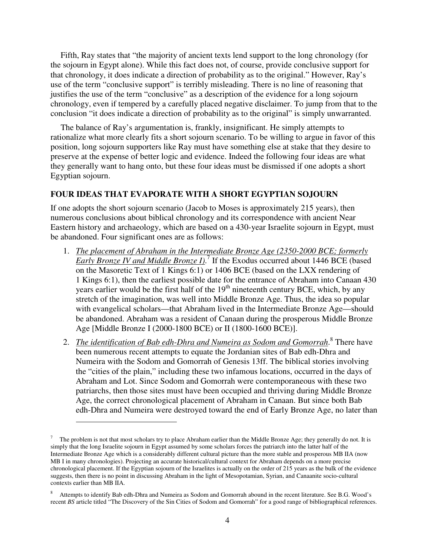Fifth, Ray states that "the majority of ancient texts lend support to the long chronology (for the sojourn in Egypt alone). While this fact does not, of course, provide conclusive support for that chronology, it does indicate a direction of probability as to the original." However, Ray's use of the term "conclusive support" is terribly misleading. There is no line of reasoning that justifies the use of the term "conclusive" as a description of the evidence for a long sojourn chronology, even if tempered by a carefully placed negative disclaimer. To jump from that to the conclusion "it does indicate a direction of probability as to the original" is simply unwarranted.

The balance of Ray's argumentation is, frankly, insignificant. He simply attempts to rationalize what more clearly fits a short sojourn scenario. To be willing to argue in favor of this position, long sojourn supporters like Ray must have something else at stake that they desire to preserve at the expense of better logic and evidence. Indeed the following four ideas are what they generally want to hang onto, but these four ideas must be dismissed if one adopts a short Egyptian sojourn.

#### **FOUR IDEAS THAT EVAPORATE WITH A SHORT EGYPTIAN SOJOURN**

If one adopts the short sojourn scenario (Jacob to Moses is approximately 215 years), then numerous conclusions about biblical chronology and its correspondence with ancient Near Eastern history and archaeology, which are based on a 430-year Israelite sojourn in Egypt, must be abandoned. Four significant ones are as follows:

- 1. *The placement of Abraham in the Intermediate Bronze Age (2350-2000 BCE; formerly Early Bronze IV and Middle Bronze I)*. 7 If the Exodus occurred about 1446 BCE (based on the Masoretic Text of 1 Kings 6:1) or 1406 BCE (based on the LXX rendering of 1 Kings 6:1), then the earliest possible date for the entrance of Abraham into Canaan 430 years earlier would be the first half of the 19<sup>th</sup> nineteenth century BCE, which, by any stretch of the imagination, was well into Middle Bronze Age. Thus, the idea so popular with evangelical scholars—that Abraham lived in the Intermediate Bronze Age—should be abandoned. Abraham was a resident of Canaan during the prosperous Middle Bronze Age [Middle Bronze I (2000-1800 BCE) or II (1800-1600 BCE)].
- 2. *The identification of Bab edh-Dhra and Numeira as Sodom and Gomorrah*.<sup>8</sup> There have been numerous recent attempts to equate the Jordanian sites of Bab edh-Dhra and Numeira with the Sodom and Gomorrah of Genesis 13ff. The biblical stories involving the "cities of the plain," including these two infamous locations, occurred in the days of Abraham and Lot. Since Sodom and Gomorrah were contemporaneous with these two patriarchs, then those sites must have been occupied and thriving during Middle Bronze Age, the correct chronological placement of Abraham in Canaan. But since both Bab edh-Dhra and Numeira were destroyed toward the end of Early Bronze Age, no later than

 $\overline{a}$ 

<sup>7</sup> The problem is not that most scholars try to place Abraham earlier than the Middle Bronze Age; they generally do not. It is simply that the long Israelite sojourn in Egypt assumed by some scholars forces the patriarch into the latter half of the Intermediate Bronze Age which is a considerably different cultural picture than the more stable and prosperous MB IIA (now MB I in many chronologies). Projecting an accurate historical/cultural context for Abraham depends on a more precise chronological placement. If the Egyptian sojourn of the Israelites is actually on the order of 215 years as the bulk of the evidence suggests, then there is no point in discussing Abraham in the light of Mesopotamian, Syrian, and Canaanite socio-cultural contexts earlier than MB IIA.

<sup>8</sup> Attempts to identify Bab edh-Dhra and Numeira as Sodom and Gomorrah abound in the recent literature. See B.G. Wood's recent *BS* article titled "The Discovery of the Sin Cities of Sodom and Gomorrah" for a good range of bibliographical references.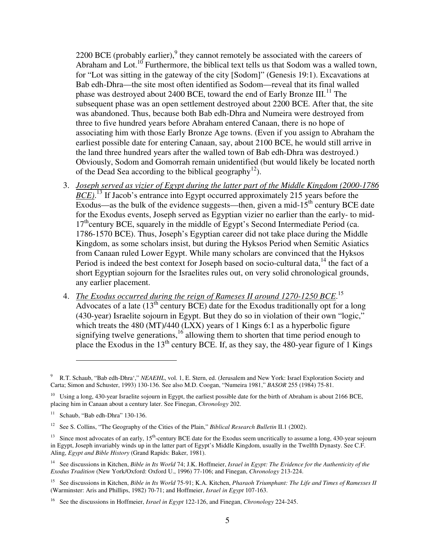2200 BCE (probably earlier), $9$  they cannot remotely be associated with the careers of Abraham and Lot.<sup>10</sup> Furthermore, the biblical text tells us that Sodom was a walled town, for "Lot was sitting in the gateway of the city [Sodom]" (Genesis 19:1). Excavations at Bab edh-Dhra—the site most often identified as Sodom—reveal that its final walled phase was destroyed about 2400 BCE, toward the end of Early Bronze III.<sup>11</sup> The subsequent phase was an open settlement destroyed about 2200 BCE. After that, the site was abandoned. Thus, because both Bab edh-Dhra and Numeira were destroyed from three to five hundred years before Abraham entered Canaan, there is no hope of associating him with those Early Bronze Age towns. (Even if you assign to Abraham the earliest possible date for entering Canaan, say, about 2100 BCE, he would still arrive in the land three hundred years after the walled town of Bab edh-Dhra was destroyed.) Obviously, Sodom and Gomorrah remain unidentified (but would likely be located north of the Dead Sea according to the biblical geography<sup>12</sup>).

- 3. *Joseph served as vizier of Egypt during the latter part of the Middle Kingdom (2000-1786 BCE*).<sup>13</sup> If Jacob's entrance into Egypt occurred approximately 215 years before the Exodus—as the bulk of the evidence suggests—then, given a mid-15<sup>th</sup> century BCE date for the Exodus events, Joseph served as Egyptian vizier no earlier than the early- to mid-17<sup>th</sup>century BCE, squarely in the middle of Egypt's Second Intermediate Period (ca. 1786-1570 BCE). Thus, Joseph's Egyptian career did not take place during the Middle Kingdom, as some scholars insist, but during the Hyksos Period when Semitic Asiatics from Canaan ruled Lower Egypt. While many scholars are convinced that the Hyksos Period is indeed the best context for Joseph based on socio-cultural data, $14$  the fact of a short Egyptian sojourn for the Israelites rules out, on very solid chronological grounds, any earlier placement.
- 4. *The Exodus occurred during the reign of Rameses II around 1270-1250 BCE*. 15 Advocates of a late  $(13<sup>th</sup>$  century BCE) date for the Exodus traditionally opt for a long (430-year) Israelite sojourn in Egypt. But they do so in violation of their own "logic," which treats the 480 (MT)/440 (LXX) years of 1 Kings 6:1 as a hyperbolic figure signifying twelve generations,<sup>16</sup> allowing them to shorten that time period enough to place the Exodus in the 13<sup>th</sup> century BCE. If, as they say, the 480-year figure of 1 Kings

 $\overline{a}$ 

<sup>9</sup> R.T. Schaub, "Bab edh-Dhra'," *NEAEHL*, vol. 1, E. Stern, ed. (Jerusalem and New York: Israel Exploration Society and Carta; Simon and Schuster, 1993) 130-136. See also M.D. Coogan, "Numeira 1981," *BASOR* 255 (1984) 75-81.

 $10$  Using a long, 430-year Israelite sojourn in Egypt, the earliest possible date for the birth of Abraham is about 2166 BCE, placing him in Canaan about a century later. See Finegan, *Chronology* 202.

 $11$  Schaub, "Bab edh-Dhra" 130-136.

<sup>12</sup> See S. Collins, "The Geography of the Cities of the Plain," *Biblical Research Bulletin* II.1 (2002).

<sup>&</sup>lt;sup>13</sup> Since most advocates of an early,  $15<sup>th</sup>$ -century BCE date for the Exodus seem uncritically to assume a long, 430-year sojourn in Egypt, Joseph invariably winds up in the latter part of Egypt's Middle Kingdom, usually in the Twelfth Dynasty. See C.F. Aling, *Egypt and Bible History* (Grand Rapids: Baker, 1981).

<sup>14</sup> See discussions in Kitchen, *Bible in Its World* 74; J.K. Hoffmeier, *Israel in Egypt: The Evidence for the Authenticity of the Exodus Tradition* (New York/Oxford: Oxford U., 1996) 77-106; and Finegan, *Chronology* 213-224.

<sup>15</sup> See discussions in Kitchen, *Bible in Its World* 75-91; K.A. Kitchen, *Pharaoh Triumphant: The Life and Times of Ramesses II* (Warminster: Aris and Phillips, 1982) 70-71; and Hoffmeier, *Israel in Egypt* 107-163.

<sup>16</sup> See the discussions in Hoffmeier, *Israel in Egypt* 122-126, and Finegan, *Chronology* 224-245.